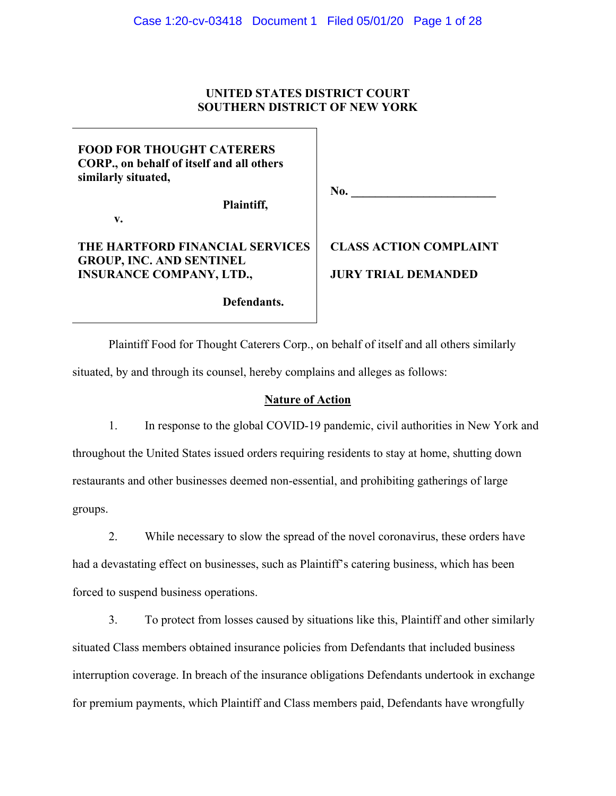## **UNITED STATES DISTRICT COURT SOUTHERN DISTRICT OF NEW YORK**

## **FOOD FOR THOUGHT CATERERS CORP., on behalf of itself and all others similarly situated,**

**v.**

**Plaintiff,**

No.

## **THE HARTFORD FINANCIAL SERVICES GROUP, INC. AND SENTINEL INSURANCE COMPANY, LTD.,**

**Defendants.**

# **CLASS ACTION COMPLAINT JURY TRIAL DEMANDED**

Plaintiff Food for Thought Caterers Corp., on behalf of itself and all others similarly situated, by and through its counsel, hereby complains and alleges as follows:

## **Nature of Action**

1. In response to the global COVID-19 pandemic, civil authorities in New York and throughout the United States issued orders requiring residents to stay at home, shutting down restaurants and other businesses deemed non-essential, and prohibiting gatherings of large groups.

2. While necessary to slow the spread of the novel coronavirus, these orders have had a devastating effect on businesses, such as Plaintiff's catering business, which has been forced to suspend business operations.

3. To protect from losses caused by situations like this, Plaintiff and other similarly situated Class members obtained insurance policies from Defendants that included business interruption coverage. In breach of the insurance obligations Defendants undertook in exchange for premium payments, which Plaintiff and Class members paid, Defendants have wrongfully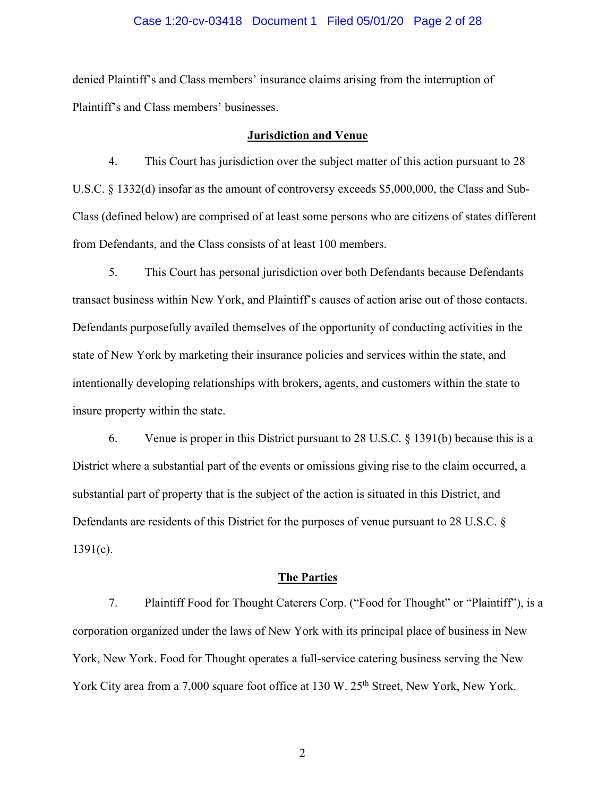#### Case 1:20-cv-03418 Document 1 Filed 05/01/20 Page 2 of 28

denied Plaintiff's and Class members' insurance claims arising from the interruption of Plaintiff's and Class members' businesses.

#### **Jurisdiction and Venue**

4. This Court has jurisdiction over the subject matter of this action pursuant to 28 U.S.C. § 1332(d) insofar as the amount of controversy exceeds \$5,000,000, the Class and Sub-Class (defined below) are comprised of at least some persons who are citizens of states different from Defendants, and the Class consists of at least 100 members.

5. This Court has personal jurisdiction over both Defendants because Defendants transact business within New York, and Plaintiff's causes of action arise out of those contacts. Defendants purposefully availed themselves of the opportunity of conducting activities in the state of New York by marketing their insurance policies and services within the state, and intentionally developing relationships with brokers, agents, and customers within the state to insure property within the state.

6. Venue is proper in this District pursuant to 28 U.S.C. § 1391(b) because this is a District where a substantial part of the events or omissions giving rise to the claim occurred, a substantial part of property that is the subject of the action is situated in this District, and Defendants are residents of this District for the purposes of venue pursuant to 28 U.S.C. §  $1391(c)$ .

## **The Parties**

7. Plaintiff Food for Thought Caterers Corp. ("Food for Thought" or "Plaintiff"), is a corporation organized under the laws of New York with its principal place of business in New York, New York. Food for Thought operates a full-service catering business serving the New York City area from a 7,000 square foot office at 130 W. 25<sup>th</sup> Street, New York, New York.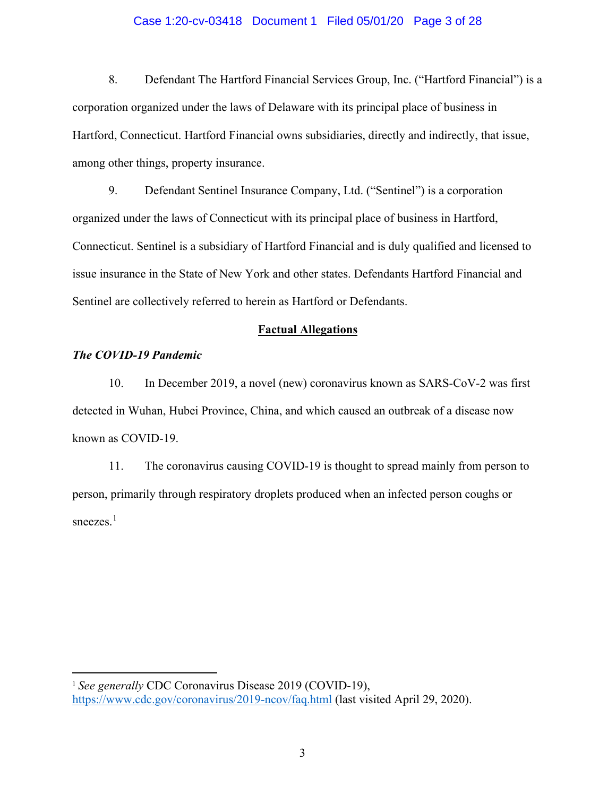#### Case 1:20-cv-03418 Document 1 Filed 05/01/20 Page 3 of 28

8. Defendant The Hartford Financial Services Group, Inc. ("Hartford Financial") is a corporation organized under the laws of Delaware with its principal place of business in Hartford, Connecticut. Hartford Financial owns subsidiaries, directly and indirectly, that issue, among other things, property insurance.

9. Defendant Sentinel Insurance Company, Ltd. ("Sentinel") is a corporation organized under the laws of Connecticut with its principal place of business in Hartford, Connecticut. Sentinel is a subsidiary of Hartford Financial and is duly qualified and licensed to issue insurance in the State of New York and other states. Defendants Hartford Financial and Sentinel are collectively referred to herein as Hartford or Defendants.

#### **Factual Allegations**

## *The COVID-19 Pandemic*

10. In December 2019, a novel (new) coronavirus known as SARS-CoV-2 was first detected in Wuhan, Hubei Province, China, and which caused an outbreak of a disease now known as COVID-19.

11. The coronavirus causing COVID-19 is thought to spread mainly from person to person, primarily through respiratory droplets produced when an infected person coughs or sneezes.<sup>[1](#page-2-0)</sup>

<span id="page-2-0"></span><sup>&</sup>lt;sup>1</sup> See generally CDC Coronavirus Disease 2019 (COVID-19), <https://www.cdc.gov/coronavirus/2019-ncov/faq.html> (last visited April 29, 2020).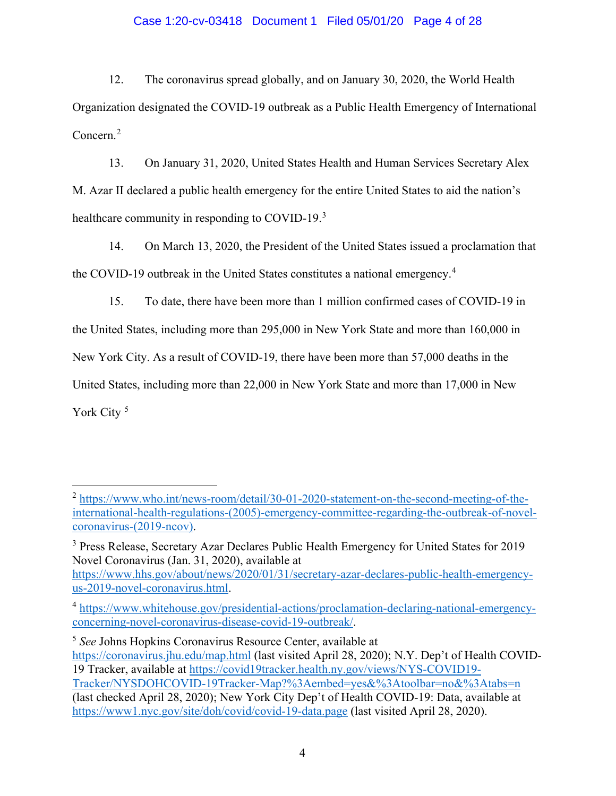## Case 1:20-cv-03418 Document 1 Filed 05/01/20 Page 4 of 28

12. The coronavirus spread globally, and on January 30, 2020, the World Health Organization designated the COVID-19 outbreak as a Public Health Emergency of International Concern. [2](#page-3-0)

13. On January 31, 2020, United States Health and Human Services Secretary Alex M. Azar II declared a public health emergency for the entire United States to aid the nation's healthcare community in responding to COVID-19.<sup>[3](#page-3-1)</sup>

14. On March 13, 2020, the President of the United States issued a proclamation that the COVID-19 outbreak in the United States constitutes a national emergency.[4](#page-3-2)

15. To date, there have been more than 1 million confirmed cases of COVID-19 in the United States, including more than 295,000 in New York State and more than 160,000 in New York City. As a result of COVID-19, there have been more than 57,000 deaths in the United States, including more than 22,000 in New York State and more than 17,000 in New York City<sup>[5](#page-3-3)</sup>

<span id="page-3-3"></span><sup>5</sup> *See* Johns Hopkins Coronavirus Resource Center, available at <https://coronavirus.jhu.edu/map.html> (last visited April 28, 2020); N.Y. Dep't of Health COVID-19 Tracker, available at [https://covid19tracker.health.ny.gov/views/NYS-COVID19-](https://covid19tracker.health.ny.gov/views/NYS-COVID19-Tracker/NYSDOHCOVID-19Tracker-Map?%3Aembed=yes&%3Atoolbar=no&%3Atabs=n) [Tracker/NYSDOHCOVID-19Tracker-Map?%3Aembed=yes&%3Atoolbar=no&%3Atabs=n](https://covid19tracker.health.ny.gov/views/NYS-COVID19-Tracker/NYSDOHCOVID-19Tracker-Map?%3Aembed=yes&%3Atoolbar=no&%3Atabs=n) (last checked April 28, 2020); New York City Dep't of Health COVID-19: Data, available at <https://www1.nyc.gov/site/doh/covid/covid-19-data.page> (last visited April 28, 2020).

<span id="page-3-0"></span><sup>2</sup> [https://www.who.int/news-room/detail/30-01-2020-statement-on-the-second-meeting-of-the](https://www.who.int/news-room/detail/30-01-2020-statement-on-the-second-meeting-of-the-international-health-regulations-(2005)-emergency-committee-regarding-the-outbreak-of-novel-coronavirus-(2019-ncov))[international-health-regulations-\(2005\)-emergency-committee-regarding-the-outbreak-of-novel](https://www.who.int/news-room/detail/30-01-2020-statement-on-the-second-meeting-of-the-international-health-regulations-(2005)-emergency-committee-regarding-the-outbreak-of-novel-coronavirus-(2019-ncov))[coronavirus-\(2019-ncov\).](https://www.who.int/news-room/detail/30-01-2020-statement-on-the-second-meeting-of-the-international-health-regulations-(2005)-emergency-committee-regarding-the-outbreak-of-novel-coronavirus-(2019-ncov))

<span id="page-3-1"></span><sup>&</sup>lt;sup>3</sup> Press Release, Secretary Azar Declares Public Health Emergency for United States for 2019 Novel Coronavirus (Jan. 31, 2020), available at [https://www.hhs.gov/about/news/2020/01/31/secretary-azar-declares-public-health-emergency](https://www.hhs.gov/about/news/2020/01/31/secretary-azar-declares-public-health-emergency-us-2019-novel-coronavirus.html)[us-2019-novel-coronavirus.html.](https://www.hhs.gov/about/news/2020/01/31/secretary-azar-declares-public-health-emergency-us-2019-novel-coronavirus.html)

<span id="page-3-2"></span><sup>4</sup> [https://www.whitehouse.gov/presidential-actions/proclamation-declaring-national-emergency](https://www.whitehouse.gov/presidential-actions/proclamation-declaring-national-emergency-concerning-novel-coronavirus-disease-covid-19-outbreak/)[concerning-novel-coronavirus-disease-covid-19-outbreak/.](https://www.whitehouse.gov/presidential-actions/proclamation-declaring-national-emergency-concerning-novel-coronavirus-disease-covid-19-outbreak/)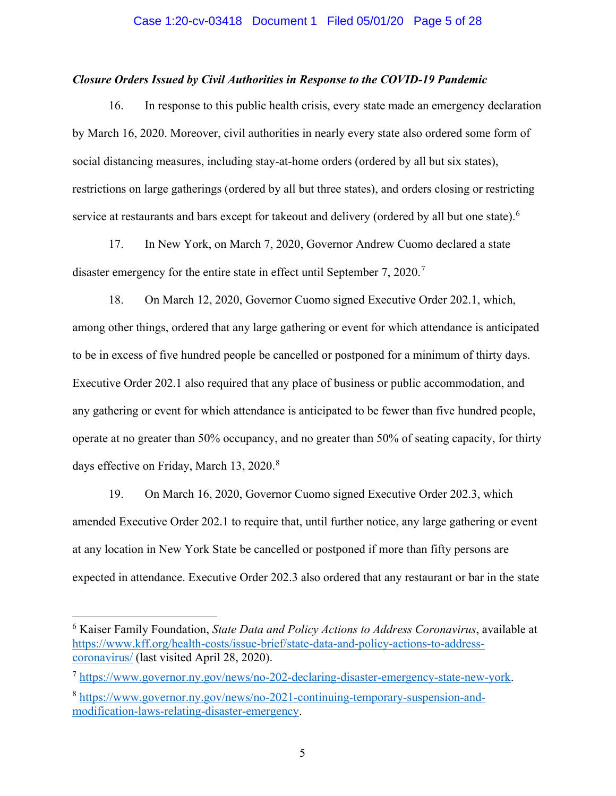#### *Closure Orders Issued by Civil Authorities in Response to the COVID-19 Pandemic*

16. In response to this public health crisis, every state made an emergency declaration by March 16, 2020. Moreover, civil authorities in nearly every state also ordered some form of social distancing measures, including stay-at-home orders (ordered by all but six states), restrictions on large gatherings (ordered by all but three states), and orders closing or restricting service at restaurants and bars except for takeout and delivery (ordered by all but one state).<sup>[6](#page-4-0)</sup>

17. In New York, on March 7, 2020, Governor Andrew Cuomo declared a state disaster emergency for the entire state in effect until September [7](#page-4-1), 2020.<sup>7</sup>

18. On March 12, 2020, Governor Cuomo signed Executive Order 202.1, which, among other things, ordered that any large gathering or event for which attendance is anticipated to be in excess of five hundred people be cancelled or postponed for a minimum of thirty days. Executive Order 202.1 also required that any place of business or public accommodation, and any gathering or event for which attendance is anticipated to be fewer than five hundred people, operate at no greater than 50% occupancy, and no greater than 50% of seating capacity, for thirty days effective on Friday, March 13, 2020.<sup>[8](#page-4-2)</sup>

19. On March 16, 2020, Governor Cuomo signed Executive Order 202.3, which amended Executive Order 202.1 to require that, until further notice, any large gathering or event at any location in New York State be cancelled or postponed if more than fifty persons are expected in attendance. Executive Order 202.3 also ordered that any restaurant or bar in the state

<span id="page-4-0"></span><sup>6</sup> Kaiser Family Foundation, *State Data and Policy Actions to Address Coronavirus*, available at [https://www.kff.org/health-costs/issue-brief/state-data-and-policy-actions-to-address](https://www.kff.org/health-costs/issue-brief/state-data-and-policy-actions-to-address-coronavirus/)[coronavirus/](https://www.kff.org/health-costs/issue-brief/state-data-and-policy-actions-to-address-coronavirus/) (last visited April 28, 2020).

<span id="page-4-1"></span><sup>7</sup> [https://www.governor.ny.gov/news/no-202-declaring-disaster-emergency-state-new-york.](https://www.governor.ny.gov/news/no-202-declaring-disaster-emergency-state-new-york)

<span id="page-4-2"></span><sup>8</sup> [https://www.governor.ny.gov/news/no-2021-continuing-temporary-suspension-and](https://www.governor.ny.gov/news/no-2021-continuing-temporary-suspension-and-modification-laws-relating-disaster-emergency)[modification-laws-relating-disaster-emergency.](https://www.governor.ny.gov/news/no-2021-continuing-temporary-suspension-and-modification-laws-relating-disaster-emergency)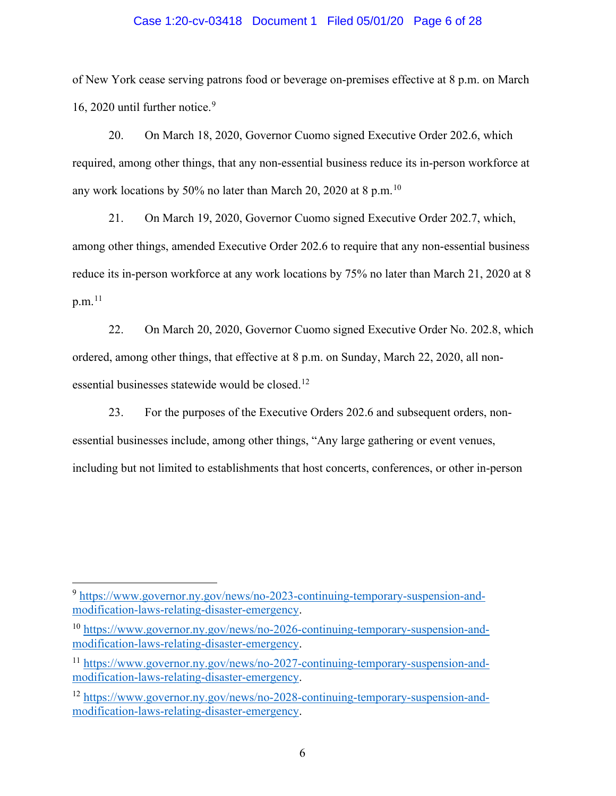#### Case 1:20-cv-03418 Document 1 Filed 05/01/20 Page 6 of 28

of New York cease serving patrons food or beverage on-premises effective at 8 p.m. on March 16, 2020 until further notice. [9](#page-5-0)

20. On March 18, 2020, Governor Cuomo signed Executive Order 202.6, which required, among other things, that any non-essential business reduce its in-person workforce at any work locations by 50% no later than March 20, 2020 at 8 p.m.  $^{10}$  $^{10}$  $^{10}$ 

21. On March 19, 2020, Governor Cuomo signed Executive Order 202.7, which, among other things, amended Executive Order 202.6 to require that any non-essential business reduce its in-person workforce at any work locations by 75% no later than March 21, 2020 at 8 p.m. $^{\mathrm{11}}$  $^{\mathrm{11}}$  $^{\mathrm{11}}$ 

22. On March 20, 2020, Governor Cuomo signed Executive Order No. 202.8, which ordered, among other things, that effective at 8 p.m. on Sunday, March 22, 2020, all non-essential businesses statewide would be closed.<sup>[12](#page-5-3)</sup>

23. For the purposes of the Executive Orders 202.6 and subsequent orders, nonessential businesses include, among other things, "Any large gathering or event venues, including but not limited to establishments that host concerts, conferences, or other in-person

<span id="page-5-0"></span><sup>9</sup> [https://www.governor.ny.gov/news/no-2023-continuing-temporary-suspension-and](https://www.governor.ny.gov/news/no-2023-continuing-temporary-suspension-and-modification-laws-relating-disaster-emergency)[modification-laws-relating-disaster-emergency.](https://www.governor.ny.gov/news/no-2023-continuing-temporary-suspension-and-modification-laws-relating-disaster-emergency)

<span id="page-5-1"></span><sup>&</sup>lt;sup>10</sup> [https://www.governor.ny.gov/news/no-2026-continuing-temporary-suspension-and](https://www.governor.ny.gov/news/no-2026-continuing-temporary-suspension-and-modification-laws-relating-disaster-emergency)[modification-laws-relating-disaster-emergency.](https://www.governor.ny.gov/news/no-2026-continuing-temporary-suspension-and-modification-laws-relating-disaster-emergency)

<span id="page-5-2"></span><sup>11</sup> [https://www.governor.ny.gov/news/no-2027-continuing-temporary-suspension-and](https://www.governor.ny.gov/news/no-2027-continuing-temporary-suspension-and-modification-laws-relating-disaster-emergency)[modification-laws-relating-disaster-emergency.](https://www.governor.ny.gov/news/no-2027-continuing-temporary-suspension-and-modification-laws-relating-disaster-emergency)

<span id="page-5-3"></span><sup>12</sup> [https://www.governor.ny.gov/news/no-2028-continuing-temporary-suspension-and](https://www.governor.ny.gov/news/no-2028-continuing-temporary-suspension-and-modification-laws-relating-disaster-emergency)[modification-laws-relating-disaster-emergency.](https://www.governor.ny.gov/news/no-2028-continuing-temporary-suspension-and-modification-laws-relating-disaster-emergency)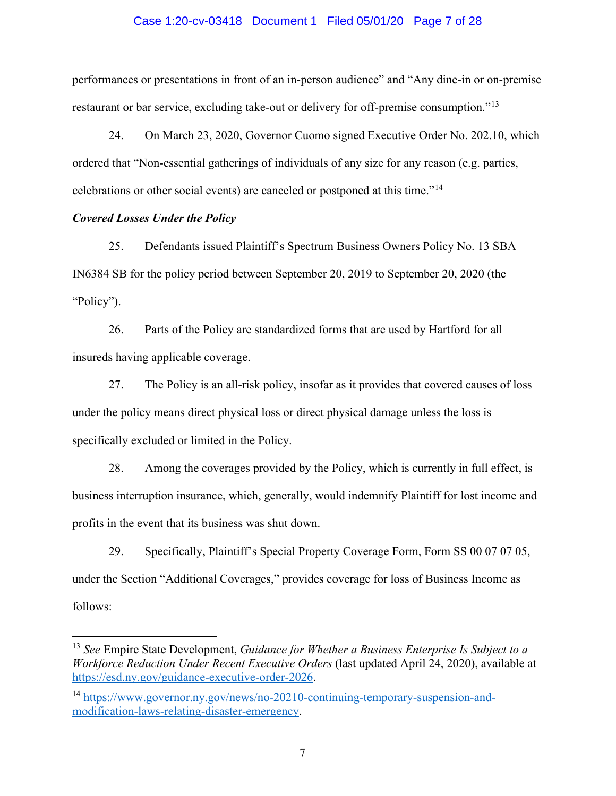#### Case 1:20-cv-03418 Document 1 Filed 05/01/20 Page 7 of 28

performances or presentations in front of an in-person audience" and "Any dine-in or on-premise restaurant or bar service, excluding take-out or delivery for off-premise consumption."<sup>[13](#page-6-0)</sup>

24. On March 23, 2020, Governor Cuomo signed Executive Order No. 202.10, which ordered that "Non-essential gatherings of individuals of any size for any reason (e.g. parties, celebrations or other social events) are canceled or postponed at this time."[14](#page-6-1)

#### *Covered Losses Under the Policy*

25. Defendants issued Plaintiff's Spectrum Business Owners Policy No. 13 SBA IN6384 SB for the policy period between September 20, 2019 to September 20, 2020 (the "Policy").

26. Parts of the Policy are standardized forms that are used by Hartford for all insureds having applicable coverage.

27. The Policy is an all-risk policy, insofar as it provides that covered causes of loss under the policy means direct physical loss or direct physical damage unless the loss is specifically excluded or limited in the Policy.

28. Among the coverages provided by the Policy, which is currently in full effect, is business interruption insurance, which, generally, would indemnify Plaintiff for lost income and profits in the event that its business was shut down.

29. Specifically, Plaintiff's Special Property Coverage Form, Form SS 00 07 07 05, under the Section "Additional Coverages," provides coverage for loss of Business Income as follows:

<span id="page-6-0"></span><sup>13</sup> *See* Empire State Development, *Guidance for Whether a Business Enterprise Is Subject to a Workforce Reduction Under Recent Executive Orders* (last updated April 24, 2020), available at [https://esd.ny.gov/guidance-executive-order-2026.](https://esd.ny.gov/guidance-executive-order-2026)

<span id="page-6-1"></span><sup>14</sup> [https://www.governor.ny.gov/news/no-20210-continuing-temporary-suspension-and](https://www.governor.ny.gov/news/no-20210-continuing-temporary-suspension-and-modification-laws-relating-disaster-emergency)[modification-laws-relating-disaster-emergency.](https://www.governor.ny.gov/news/no-20210-continuing-temporary-suspension-and-modification-laws-relating-disaster-emergency)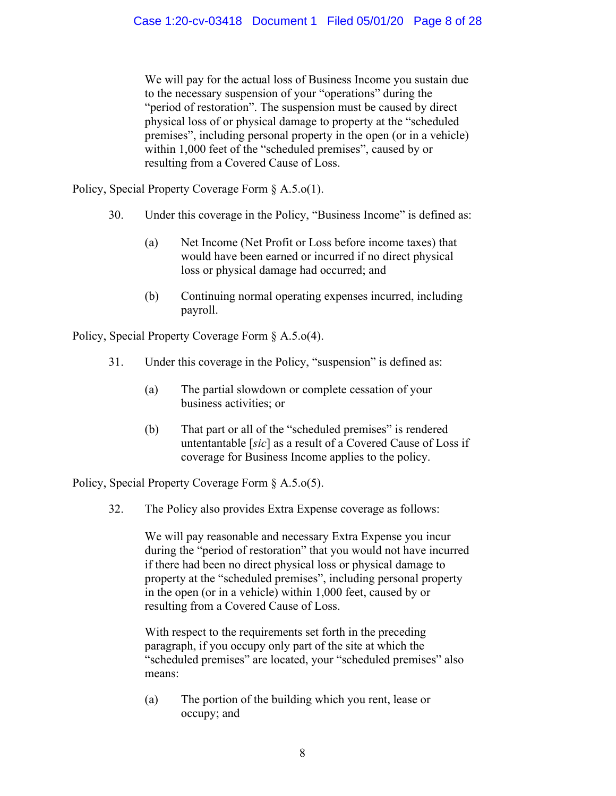We will pay for the actual loss of Business Income you sustain due to the necessary suspension of your "operations" during the "period of restoration". The suspension must be caused by direct physical loss of or physical damage to property at the "scheduled premises", including personal property in the open (or in a vehicle) within 1,000 feet of the "scheduled premises", caused by or resulting from a Covered Cause of Loss.

Policy, Special Property Coverage Form § A.5.o(1).

- 30. Under this coverage in the Policy, "Business Income" is defined as:
	- (a) Net Income (Net Profit or Loss before income taxes) that would have been earned or incurred if no direct physical loss or physical damage had occurred; and
	- (b) Continuing normal operating expenses incurred, including payroll.

Policy, Special Property Coverage Form § A.5.o(4).

- 31. Under this coverage in the Policy, "suspension" is defined as:
	- (a) The partial slowdown or complete cessation of your business activities; or
	- (b) That part or all of the "scheduled premises" is rendered untentantable [*sic*] as a result of a Covered Cause of Loss if coverage for Business Income applies to the policy.

Policy, Special Property Coverage Form § A.5.o(5).

32. The Policy also provides Extra Expense coverage as follows:

We will pay reasonable and necessary Extra Expense you incur during the "period of restoration" that you would not have incurred if there had been no direct physical loss or physical damage to property at the "scheduled premises", including personal property in the open (or in a vehicle) within 1,000 feet, caused by or resulting from a Covered Cause of Loss.

With respect to the requirements set forth in the preceding paragraph, if you occupy only part of the site at which the "scheduled premises" are located, your "scheduled premises" also means:

(a) The portion of the building which you rent, lease or occupy; and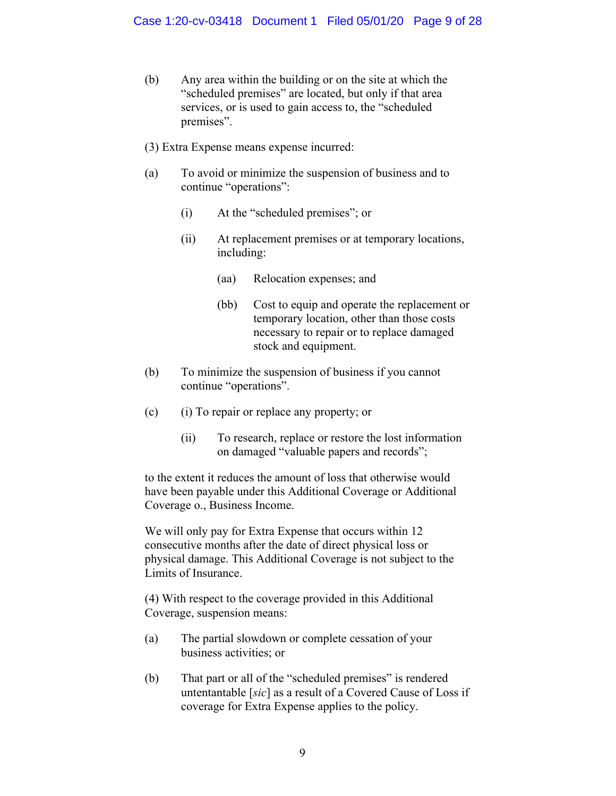- (b) Any area within the building or on the site at which the "scheduled premises" are located, but only if that area services, or is used to gain access to, the "scheduled premises".
- (3) Extra Expense means expense incurred:
- (a) To avoid or minimize the suspension of business and to continue "operations":
	- (i) At the "scheduled premises"; or
	- (ii) At replacement premises or at temporary locations, including:
		- (aa) Relocation expenses; and
		- (bb) Cost to equip and operate the replacement or temporary location, other than those costs necessary to repair or to replace damaged stock and equipment.
- (b) To minimize the suspension of business if you cannot continue "operations".
- (c) (i) To repair or replace any property; or
	- (ii) To research, replace or restore the lost information on damaged "valuable papers and records";

to the extent it reduces the amount of loss that otherwise would have been payable under this Additional Coverage or Additional Coverage o., Business Income.

We will only pay for Extra Expense that occurs within 12 consecutive months after the date of direct physical loss or physical damage. This Additional Coverage is not subject to the Limits of Insurance.

(4) With respect to the coverage provided in this Additional Coverage, suspension means:

- (a) The partial slowdown or complete cessation of your business activities; or
- (b) That part or all of the "scheduled premises" is rendered untentantable [*sic*] as a result of a Covered Cause of Loss if coverage for Extra Expense applies to the policy.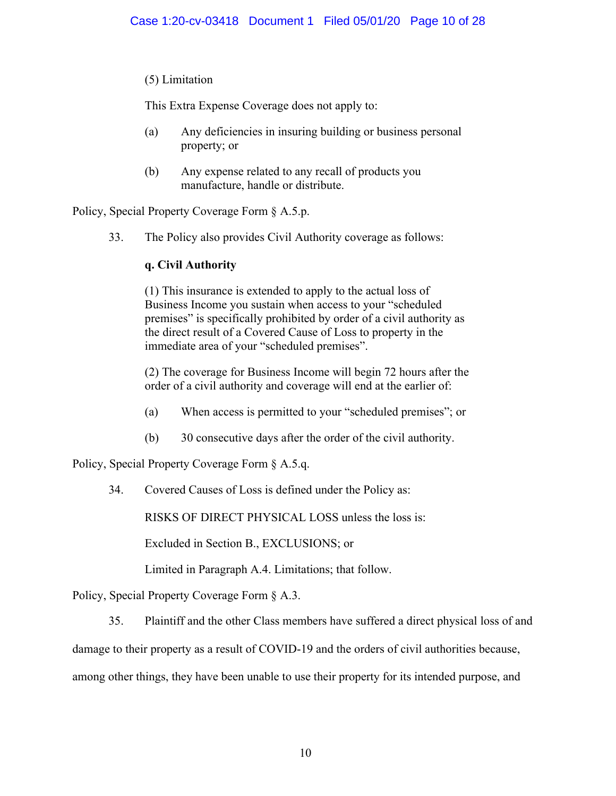## (5) Limitation

This Extra Expense Coverage does not apply to:

- (a) Any deficiencies in insuring building or business personal property; or
- (b) Any expense related to any recall of products you manufacture, handle or distribute.

Policy, Special Property Coverage Form § A.5.p.

33. The Policy also provides Civil Authority coverage as follows:

## **q. Civil Authority**

(1) This insurance is extended to apply to the actual loss of Business Income you sustain when access to your "scheduled premises" is specifically prohibited by order of a civil authority as the direct result of a Covered Cause of Loss to property in the immediate area of your "scheduled premises".

(2) The coverage for Business Income will begin 72 hours after the order of a civil authority and coverage will end at the earlier of:

- (a) When access is permitted to your "scheduled premises"; or
- (b) 30 consecutive days after the order of the civil authority.

Policy, Special Property Coverage Form § A.5.q.

34. Covered Causes of Loss is defined under the Policy as:

RISKS OF DIRECT PHYSICAL LOSS unless the loss is:

Excluded in Section B., EXCLUSIONS; or

Limited in Paragraph A.4. Limitations; that follow.

Policy, Special Property Coverage Form § A.3.

35. Plaintiff and the other Class members have suffered a direct physical loss of and

damage to their property as a result of COVID-19 and the orders of civil authorities because,

among other things, they have been unable to use their property for its intended purpose, and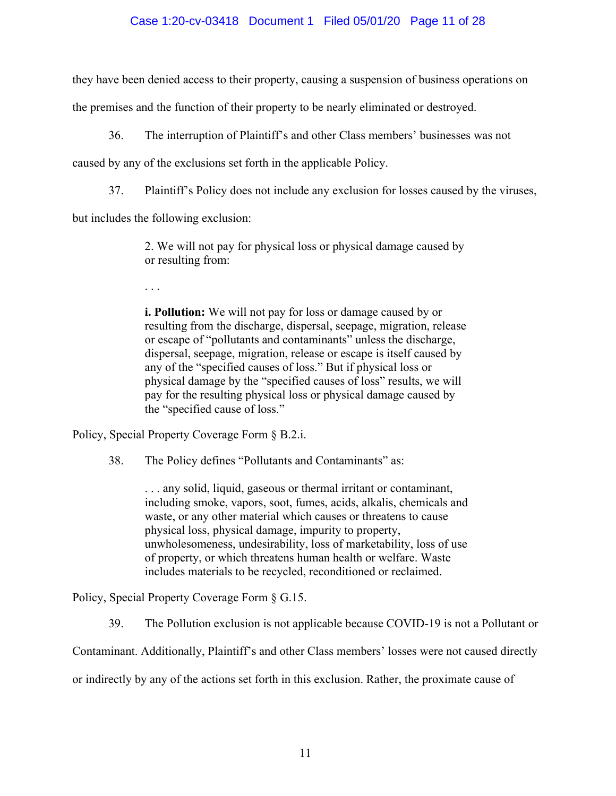## Case 1:20-cv-03418 Document 1 Filed 05/01/20 Page 11 of 28

they have been denied access to their property, causing a suspension of business operations on

the premises and the function of their property to be nearly eliminated or destroyed.

36. The interruption of Plaintiff's and other Class members' businesses was not

caused by any of the exclusions set forth in the applicable Policy.

37. Plaintiff's Policy does not include any exclusion for losses caused by the viruses,

but includes the following exclusion:

2. We will not pay for physical loss or physical damage caused by or resulting from:

. . .

**i. Pollution:** We will not pay for loss or damage caused by or resulting from the discharge, dispersal, seepage, migration, release or escape of "pollutants and contaminants" unless the discharge, dispersal, seepage, migration, release or escape is itself caused by any of the "specified causes of loss." But if physical loss or physical damage by the "specified causes of loss" results, we will pay for the resulting physical loss or physical damage caused by the "specified cause of loss."

Policy, Special Property Coverage Form § B.2.i.

38. The Policy defines "Pollutants and Contaminants" as:

. . . any solid, liquid, gaseous or thermal irritant or contaminant, including smoke, vapors, soot, fumes, acids, alkalis, chemicals and waste, or any other material which causes or threatens to cause physical loss, physical damage, impurity to property, unwholesomeness, undesirability, loss of marketability, loss of use of property, or which threatens human health or welfare. Waste includes materials to be recycled, reconditioned or reclaimed.

Policy, Special Property Coverage Form § G.15.

39. The Pollution exclusion is not applicable because COVID-19 is not a Pollutant or

Contaminant. Additionally, Plaintiff's and other Class members' losses were not caused directly

or indirectly by any of the actions set forth in this exclusion. Rather, the proximate cause of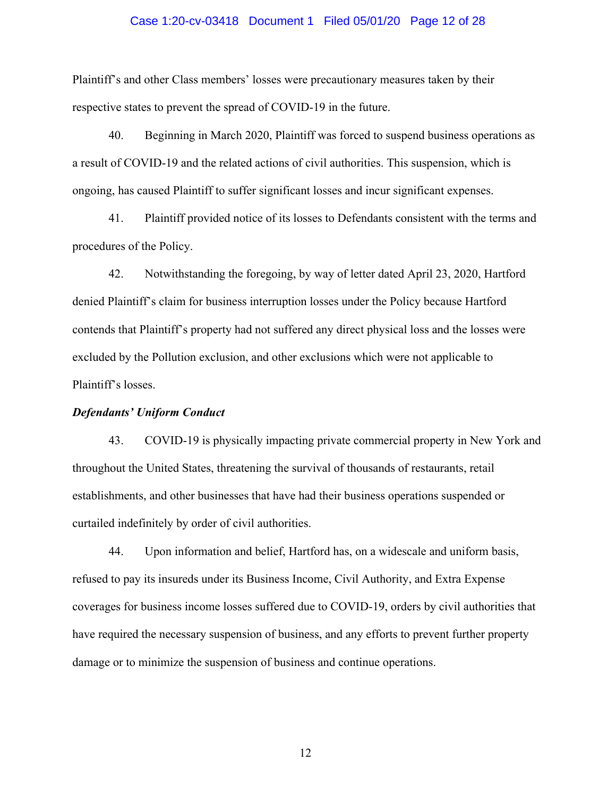#### Case 1:20-cv-03418 Document 1 Filed 05/01/20 Page 12 of 28

Plaintiff's and other Class members' losses were precautionary measures taken by their respective states to prevent the spread of COVID-19 in the future.

40. Beginning in March 2020, Plaintiff was forced to suspend business operations as a result of COVID-19 and the related actions of civil authorities. This suspension, which is ongoing, has caused Plaintiff to suffer significant losses and incur significant expenses.

41. Plaintiff provided notice of its losses to Defendants consistent with the terms and procedures of the Policy.

42. Notwithstanding the foregoing, by way of letter dated April 23, 2020, Hartford denied Plaintiff's claim for business interruption losses under the Policy because Hartford contends that Plaintiff's property had not suffered any direct physical loss and the losses were excluded by the Pollution exclusion, and other exclusions which were not applicable to Plaintiff's losses.

#### *Defendants' Uniform Conduct*

43. COVID-19 is physically impacting private commercial property in New York and throughout the United States, threatening the survival of thousands of restaurants, retail establishments, and other businesses that have had their business operations suspended or curtailed indefinitely by order of civil authorities.

44. Upon information and belief, Hartford has, on a widescale and uniform basis, refused to pay its insureds under its Business Income, Civil Authority, and Extra Expense coverages for business income losses suffered due to COVID-19, orders by civil authorities that have required the necessary suspension of business, and any efforts to prevent further property damage or to minimize the suspension of business and continue operations.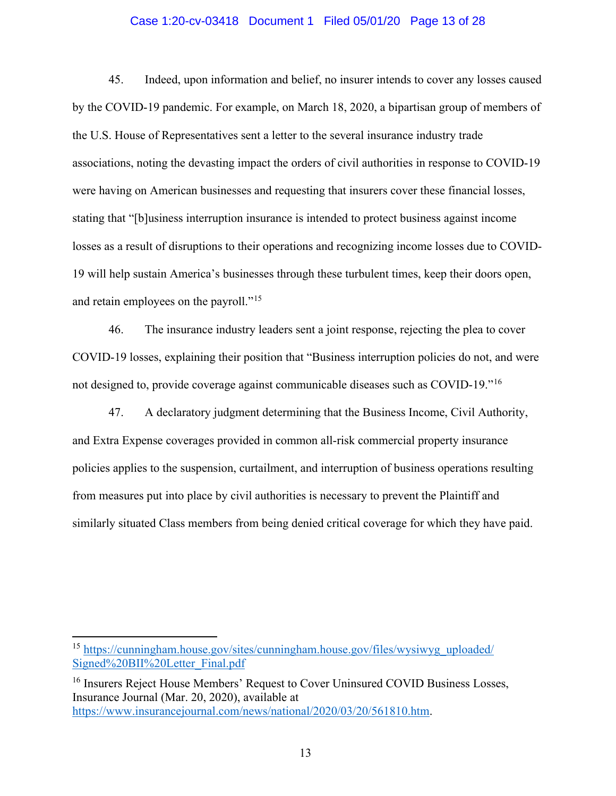#### Case 1:20-cv-03418 Document 1 Filed 05/01/20 Page 13 of 28

45. Indeed, upon information and belief, no insurer intends to cover any losses caused by the COVID-19 pandemic. For example, on March 18, 2020, a bipartisan group of members of the U.S. House of Representatives sent a letter to the several insurance industry trade associations, noting the devasting impact the orders of civil authorities in response to COVID-19 were having on American businesses and requesting that insurers cover these financial losses, stating that "[b]usiness interruption insurance is intended to protect business against income losses as a result of disruptions to their operations and recognizing income losses due to COVID-19 will help sustain America's businesses through these turbulent times, keep their doors open, and retain employees on the payroll."<sup>[15](#page-12-0)</sup>

46. The insurance industry leaders sent a joint response, rejecting the plea to cover COVID-19 losses, explaining their position that "Business interruption policies do not, and were not designed to, provide coverage against communicable diseases such as COVID-19."[16](#page-12-1)

47. A declaratory judgment determining that the Business Income, Civil Authority, and Extra Expense coverages provided in common all-risk commercial property insurance policies applies to the suspension, curtailment, and interruption of business operations resulting from measures put into place by civil authorities is necessary to prevent the Plaintiff and similarly situated Class members from being denied critical coverage for which they have paid.

<span id="page-12-0"></span><sup>15</sup> [https://cunningham.house.gov/sites/cunningham.house.gov/files/wysiwyg\\_uploaded/](https://cunningham.house.gov/sites/cunningham.house.gov/files/wysiwyg_uploaded/Signed%20BII%20Letter_Final.pdf) [Signed%20BII%20Letter\\_Final.pdf](https://cunningham.house.gov/sites/cunningham.house.gov/files/wysiwyg_uploaded/Signed%20BII%20Letter_Final.pdf)

<span id="page-12-1"></span><sup>&</sup>lt;sup>16</sup> Insurers Reject House Members' Request to Cover Uninsured COVID Business Losses, Insurance Journal (Mar. 20, 2020), available at [https://www.insurancejournal.com/news/national/2020/03/20/561810.htm.](https://www.insurancejournal.com/news/national/2020/03/20/561810.htm)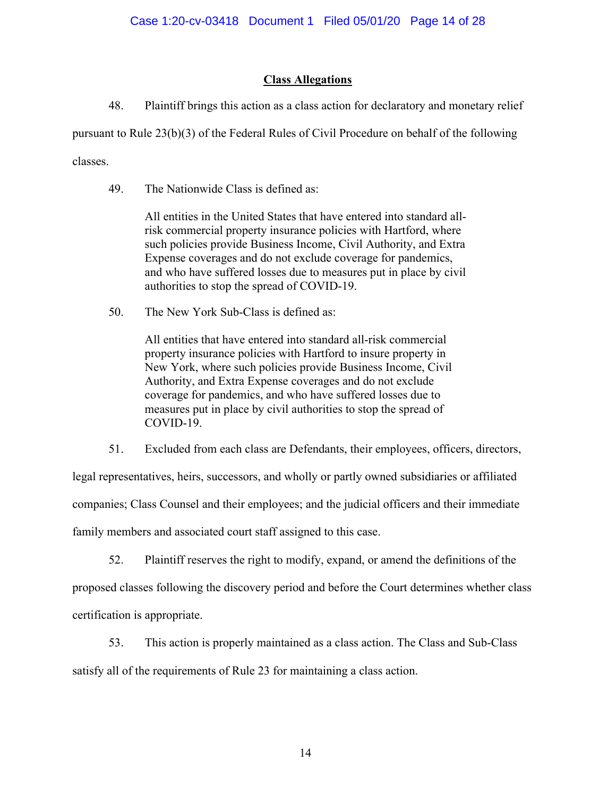## **Class Allegations**

48. Plaintiff brings this action as a class action for declaratory and monetary relief

pursuant to Rule 23(b)(3) of the Federal Rules of Civil Procedure on behalf of the following

classes.

49. The Nationwide Class is defined as:

All entities in the United States that have entered into standard allrisk commercial property insurance policies with Hartford, where such policies provide Business Income, Civil Authority, and Extra Expense coverages and do not exclude coverage for pandemics, and who have suffered losses due to measures put in place by civil authorities to stop the spread of COVID-19.

50. The New York Sub-Class is defined as:

All entities that have entered into standard all-risk commercial property insurance policies with Hartford to insure property in New York, where such policies provide Business Income, Civil Authority, and Extra Expense coverages and do not exclude coverage for pandemics, and who have suffered losses due to measures put in place by civil authorities to stop the spread of COVID-19.

51. Excluded from each class are Defendants, their employees, officers, directors,

legal representatives, heirs, successors, and wholly or partly owned subsidiaries or affiliated companies; Class Counsel and their employees; and the judicial officers and their immediate

family members and associated court staff assigned to this case.

52. Plaintiff reserves the right to modify, expand, or amend the definitions of the proposed classes following the discovery period and before the Court determines whether class certification is appropriate.

53. This action is properly maintained as a class action. The Class and Sub-Class satisfy all of the requirements of Rule 23 for maintaining a class action.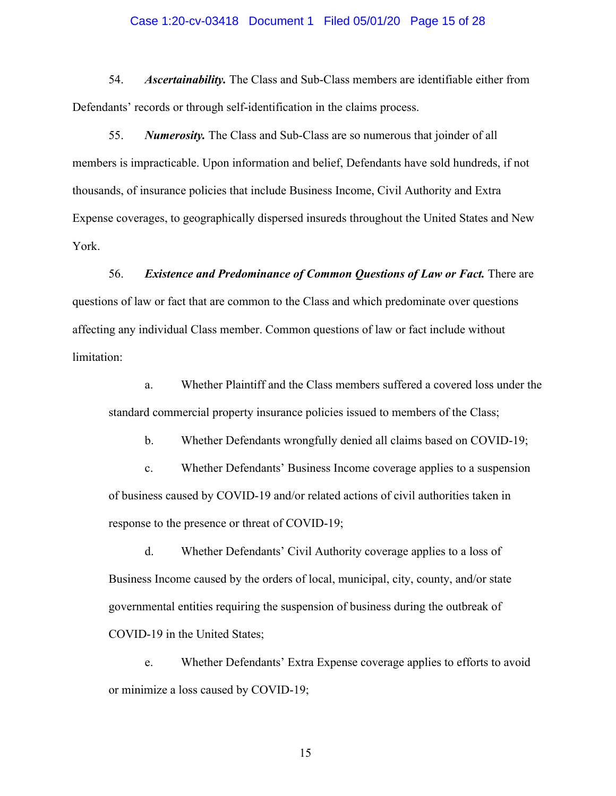#### Case 1:20-cv-03418 Document 1 Filed 05/01/20 Page 15 of 28

54. *Ascertainability.* The Class and Sub-Class members are identifiable either from Defendants' records or through self-identification in the claims process.

55. *Numerosity.* The Class and Sub-Class are so numerous that joinder of all members is impracticable. Upon information and belief, Defendants have sold hundreds, if not thousands, of insurance policies that include Business Income, Civil Authority and Extra Expense coverages, to geographically dispersed insureds throughout the United States and New York.

56. *Existence and Predominance of Common Questions of Law or Fact.* There are questions of law or fact that are common to the Class and which predominate over questions affecting any individual Class member. Common questions of law or fact include without limitation:

a. Whether Plaintiff and the Class members suffered a covered loss under the standard commercial property insurance policies issued to members of the Class;

b. Whether Defendants wrongfully denied all claims based on COVID-19;

c. Whether Defendants' Business Income coverage applies to a suspension of business caused by COVID-19 and/or related actions of civil authorities taken in response to the presence or threat of COVID-19;

d. Whether Defendants' Civil Authority coverage applies to a loss of Business Income caused by the orders of local, municipal, city, county, and/or state governmental entities requiring the suspension of business during the outbreak of COVID-19 in the United States;

e. Whether Defendants' Extra Expense coverage applies to efforts to avoid or minimize a loss caused by COVID-19;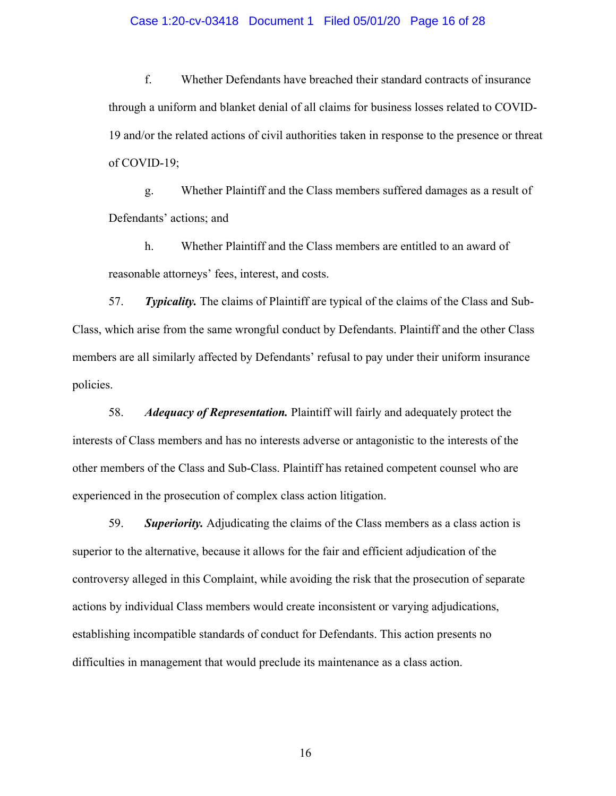#### Case 1:20-cv-03418 Document 1 Filed 05/01/20 Page 16 of 28

f. Whether Defendants have breached their standard contracts of insurance through a uniform and blanket denial of all claims for business losses related to COVID-19 and/or the related actions of civil authorities taken in response to the presence or threat of COVID-19;

g. Whether Plaintiff and the Class members suffered damages as a result of Defendants' actions; and

h. Whether Plaintiff and the Class members are entitled to an award of reasonable attorneys' fees, interest, and costs.

57. *Typicality.* The claims of Plaintiff are typical of the claims of the Class and Sub-Class, which arise from the same wrongful conduct by Defendants. Plaintiff and the other Class members are all similarly affected by Defendants' refusal to pay under their uniform insurance policies.

58. *Adequacy of Representation.* Plaintiff will fairly and adequately protect the interests of Class members and has no interests adverse or antagonistic to the interests of the other members of the Class and Sub-Class. Plaintiff has retained competent counsel who are experienced in the prosecution of complex class action litigation.

59. *Superiority.* Adjudicating the claims of the Class members as a class action is superior to the alternative, because it allows for the fair and efficient adjudication of the controversy alleged in this Complaint, while avoiding the risk that the prosecution of separate actions by individual Class members would create inconsistent or varying adjudications, establishing incompatible standards of conduct for Defendants. This action presents no difficulties in management that would preclude its maintenance as a class action.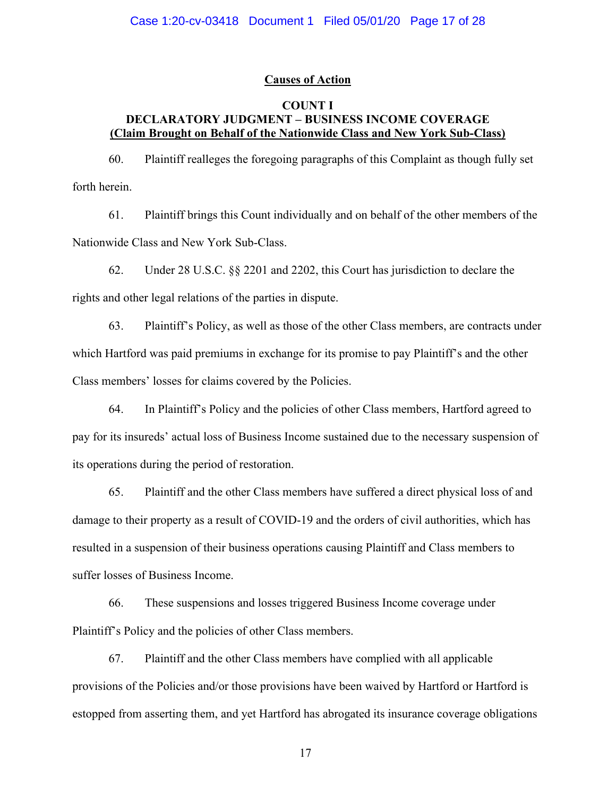## **Causes of Action**

## **COUNT I DECLARATORY JUDGMENT – BUSINESS INCOME COVERAGE (Claim Brought on Behalf of the Nationwide Class and New York Sub-Class)**

60. Plaintiff realleges the foregoing paragraphs of this Complaint as though fully set forth herein.

61. Plaintiff brings this Count individually and on behalf of the other members of the Nationwide Class and New York Sub-Class.

62. Under 28 U.S.C. §§ 2201 and 2202, this Court has jurisdiction to declare the rights and other legal relations of the parties in dispute.

63. Plaintiff's Policy, as well as those of the other Class members, are contracts under which Hartford was paid premiums in exchange for its promise to pay Plaintiff's and the other Class members' losses for claims covered by the Policies.

64. In Plaintiff's Policy and the policies of other Class members, Hartford agreed to pay for its insureds' actual loss of Business Income sustained due to the necessary suspension of its operations during the period of restoration.

65. Plaintiff and the other Class members have suffered a direct physical loss of and damage to their property as a result of COVID-19 and the orders of civil authorities, which has resulted in a suspension of their business operations causing Plaintiff and Class members to suffer losses of Business Income.

66. These suspensions and losses triggered Business Income coverage under Plaintiff's Policy and the policies of other Class members.

67. Plaintiff and the other Class members have complied with all applicable provisions of the Policies and/or those provisions have been waived by Hartford or Hartford is estopped from asserting them, and yet Hartford has abrogated its insurance coverage obligations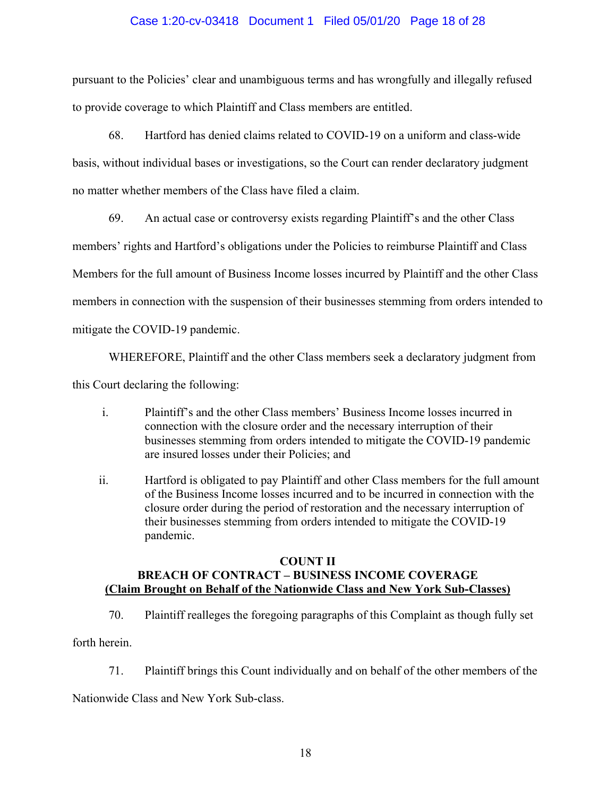## Case 1:20-cv-03418 Document 1 Filed 05/01/20 Page 18 of 28

pursuant to the Policies' clear and unambiguous terms and has wrongfully and illegally refused to provide coverage to which Plaintiff and Class members are entitled.

68. Hartford has denied claims related to COVID-19 on a uniform and class-wide basis, without individual bases or investigations, so the Court can render declaratory judgment no matter whether members of the Class have filed a claim.

69. An actual case or controversy exists regarding Plaintiff's and the other Class

members' rights and Hartford's obligations under the Policies to reimburse Plaintiff and Class

Members for the full amount of Business Income losses incurred by Plaintiff and the other Class

members in connection with the suspension of their businesses stemming from orders intended to

mitigate the COVID-19 pandemic.

WHEREFORE, Plaintiff and the other Class members seek a declaratory judgment from

this Court declaring the following:

- i. Plaintiff's and the other Class members' Business Income losses incurred in connection with the closure order and the necessary interruption of their businesses stemming from orders intended to mitigate the COVID-19 pandemic are insured losses under their Policies; and
- ii. Hartford is obligated to pay Plaintiff and other Class members for the full amount of the Business Income losses incurred and to be incurred in connection with the closure order during the period of restoration and the necessary interruption of their businesses stemming from orders intended to mitigate the COVID-19 pandemic.

## **COUNT II BREACH OF CONTRACT – BUSINESS INCOME COVERAGE (Claim Brought on Behalf of the Nationwide Class and New York Sub-Classes)**

70. Plaintiff realleges the foregoing paragraphs of this Complaint as though fully set

forth herein.

71. Plaintiff brings this Count individually and on behalf of the other members of the

Nationwide Class and New York Sub-class.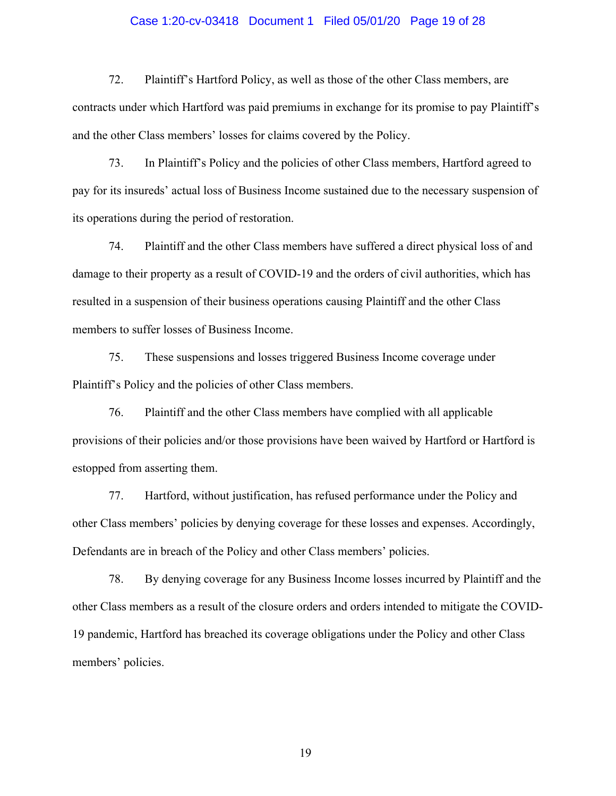#### Case 1:20-cv-03418 Document 1 Filed 05/01/20 Page 19 of 28

72. Plaintiff's Hartford Policy, as well as those of the other Class members, are contracts under which Hartford was paid premiums in exchange for its promise to pay Plaintiff's and the other Class members' losses for claims covered by the Policy.

73. In Plaintiff's Policy and the policies of other Class members, Hartford agreed to pay for its insureds' actual loss of Business Income sustained due to the necessary suspension of its operations during the period of restoration.

74. Plaintiff and the other Class members have suffered a direct physical loss of and damage to their property as a result of COVID-19 and the orders of civil authorities, which has resulted in a suspension of their business operations causing Plaintiff and the other Class members to suffer losses of Business Income.

75. These suspensions and losses triggered Business Income coverage under Plaintiff's Policy and the policies of other Class members.

76. Plaintiff and the other Class members have complied with all applicable provisions of their policies and/or those provisions have been waived by Hartford or Hartford is estopped from asserting them.

77. Hartford, without justification, has refused performance under the Policy and other Class members' policies by denying coverage for these losses and expenses. Accordingly, Defendants are in breach of the Policy and other Class members' policies.

78. By denying coverage for any Business Income losses incurred by Plaintiff and the other Class members as a result of the closure orders and orders intended to mitigate the COVID-19 pandemic, Hartford has breached its coverage obligations under the Policy and other Class members' policies.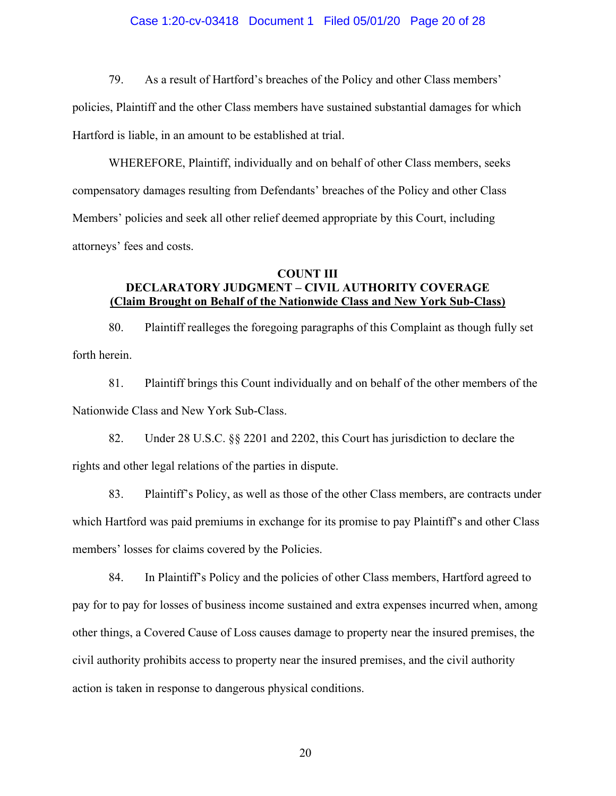#### Case 1:20-cv-03418 Document 1 Filed 05/01/20 Page 20 of 28

79. As a result of Hartford's breaches of the Policy and other Class members'

policies, Plaintiff and the other Class members have sustained substantial damages for which Hartford is liable, in an amount to be established at trial.

WHEREFORE, Plaintiff, individually and on behalf of other Class members, seeks compensatory damages resulting from Defendants' breaches of the Policy and other Class Members' policies and seek all other relief deemed appropriate by this Court, including attorneys' fees and costs.

## **COUNT III DECLARATORY JUDGMENT – CIVIL AUTHORITY COVERAGE (Claim Brought on Behalf of the Nationwide Class and New York Sub-Class)**

80. Plaintiff realleges the foregoing paragraphs of this Complaint as though fully set forth herein.

81. Plaintiff brings this Count individually and on behalf of the other members of the Nationwide Class and New York Sub-Class.

82. Under 28 U.S.C. §§ 2201 and 2202, this Court has jurisdiction to declare the rights and other legal relations of the parties in dispute.

83. Plaintiff's Policy, as well as those of the other Class members, are contracts under which Hartford was paid premiums in exchange for its promise to pay Plaintiff's and other Class members' losses for claims covered by the Policies.

84. In Plaintiff's Policy and the policies of other Class members, Hartford agreed to pay for to pay for losses of business income sustained and extra expenses incurred when, among other things, a Covered Cause of Loss causes damage to property near the insured premises, the civil authority prohibits access to property near the insured premises, and the civil authority action is taken in response to dangerous physical conditions.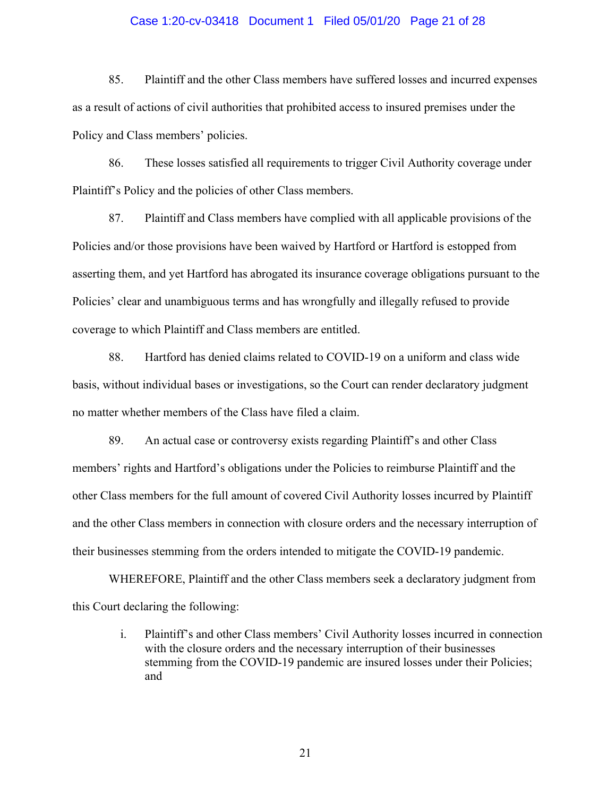#### Case 1:20-cv-03418 Document 1 Filed 05/01/20 Page 21 of 28

85. Plaintiff and the other Class members have suffered losses and incurred expenses as a result of actions of civil authorities that prohibited access to insured premises under the Policy and Class members' policies.

86. These losses satisfied all requirements to trigger Civil Authority coverage under Plaintiff's Policy and the policies of other Class members.

87. Plaintiff and Class members have complied with all applicable provisions of the Policies and/or those provisions have been waived by Hartford or Hartford is estopped from asserting them, and yet Hartford has abrogated its insurance coverage obligations pursuant to the Policies' clear and unambiguous terms and has wrongfully and illegally refused to provide coverage to which Plaintiff and Class members are entitled.

88. Hartford has denied claims related to COVID-19 on a uniform and class wide basis, without individual bases or investigations, so the Court can render declaratory judgment no matter whether members of the Class have filed a claim.

89. An actual case or controversy exists regarding Plaintiff's and other Class members' rights and Hartford's obligations under the Policies to reimburse Plaintiff and the other Class members for the full amount of covered Civil Authority losses incurred by Plaintiff and the other Class members in connection with closure orders and the necessary interruption of their businesses stemming from the orders intended to mitigate the COVID-19 pandemic.

WHEREFORE, Plaintiff and the other Class members seek a declaratory judgment from this Court declaring the following:

> i. Plaintiff's and other Class members' Civil Authority losses incurred in connection with the closure orders and the necessary interruption of their businesses stemming from the COVID-19 pandemic are insured losses under their Policies; and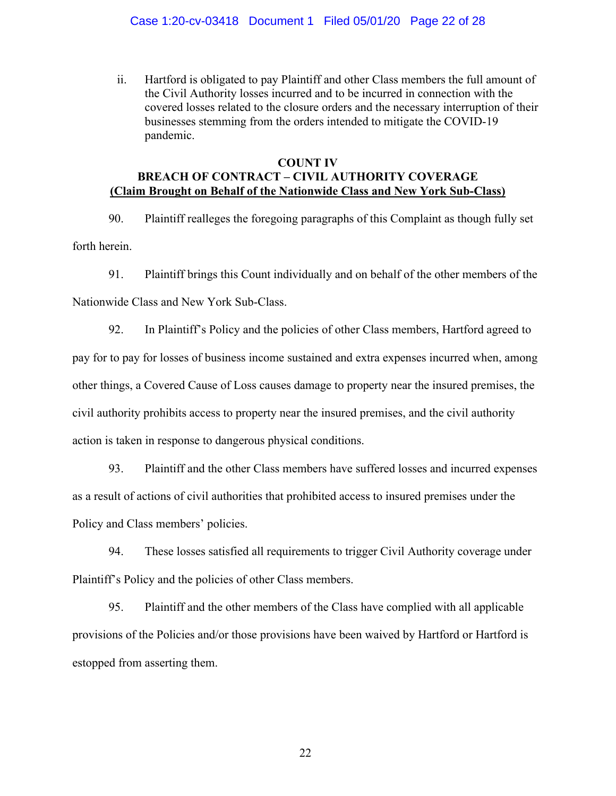ii. Hartford is obligated to pay Plaintiff and other Class members the full amount of the Civil Authority losses incurred and to be incurred in connection with the covered losses related to the closure orders and the necessary interruption of their businesses stemming from the orders intended to mitigate the COVID-19 pandemic.

## **COUNT IV BREACH OF CONTRACT – CIVIL AUTHORITY COVERAGE (Claim Brought on Behalf of the Nationwide Class and New York Sub-Class)**

90. Plaintiff realleges the foregoing paragraphs of this Complaint as though fully set forth herein.

91. Plaintiff brings this Count individually and on behalf of the other members of the Nationwide Class and New York Sub-Class.

92. In Plaintiff's Policy and the policies of other Class members, Hartford agreed to pay for to pay for losses of business income sustained and extra expenses incurred when, among other things, a Covered Cause of Loss causes damage to property near the insured premises, the civil authority prohibits access to property near the insured premises, and the civil authority action is taken in response to dangerous physical conditions.

93. Plaintiff and the other Class members have suffered losses and incurred expenses as a result of actions of civil authorities that prohibited access to insured premises under the Policy and Class members' policies.

94. These losses satisfied all requirements to trigger Civil Authority coverage under Plaintiff's Policy and the policies of other Class members.

95. Plaintiff and the other members of the Class have complied with all applicable provisions of the Policies and/or those provisions have been waived by Hartford or Hartford is estopped from asserting them.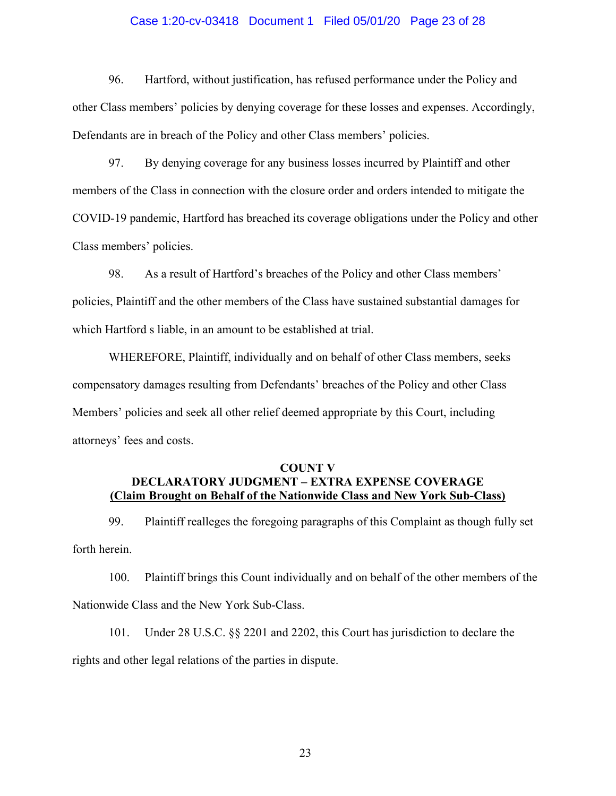#### Case 1:20-cv-03418 Document 1 Filed 05/01/20 Page 23 of 28

96. Hartford, without justification, has refused performance under the Policy and other Class members' policies by denying coverage for these losses and expenses. Accordingly, Defendants are in breach of the Policy and other Class members' policies.

97. By denying coverage for any business losses incurred by Plaintiff and other members of the Class in connection with the closure order and orders intended to mitigate the COVID-19 pandemic, Hartford has breached its coverage obligations under the Policy and other Class members' policies.

98. As a result of Hartford's breaches of the Policy and other Class members' policies, Plaintiff and the other members of the Class have sustained substantial damages for which Hartford s liable, in an amount to be established at trial.

WHEREFORE, Plaintiff, individually and on behalf of other Class members, seeks compensatory damages resulting from Defendants' breaches of the Policy and other Class Members' policies and seek all other relief deemed appropriate by this Court, including attorneys' fees and costs.

## **COUNT V DECLARATORY JUDGMENT – EXTRA EXPENSE COVERAGE (Claim Brought on Behalf of the Nationwide Class and New York Sub-Class)**

99. Plaintiff realleges the foregoing paragraphs of this Complaint as though fully set forth herein.

100. Plaintiff brings this Count individually and on behalf of the other members of the Nationwide Class and the New York Sub-Class.

101. Under 28 U.S.C. §§ 2201 and 2202, this Court has jurisdiction to declare the rights and other legal relations of the parties in dispute.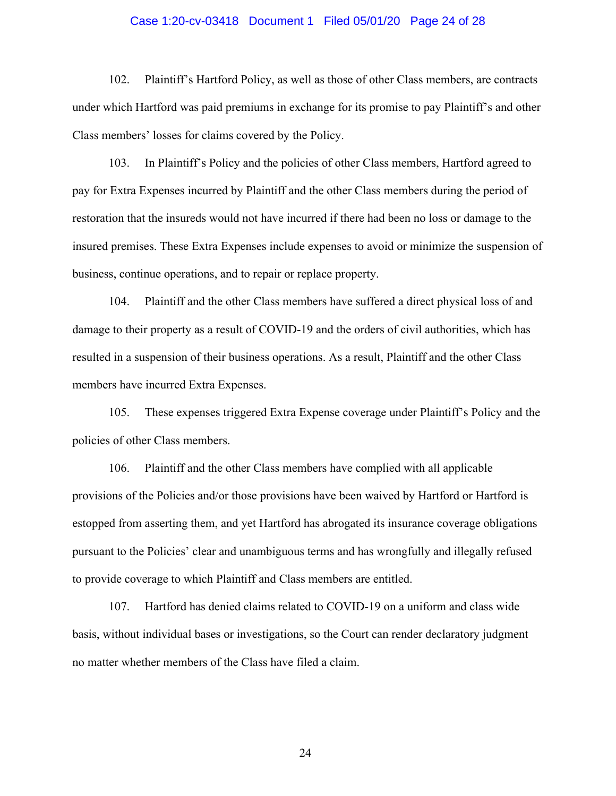#### Case 1:20-cv-03418 Document 1 Filed 05/01/20 Page 24 of 28

102. Plaintiff's Hartford Policy, as well as those of other Class members, are contracts under which Hartford was paid premiums in exchange for its promise to pay Plaintiff's and other Class members' losses for claims covered by the Policy.

103. In Plaintiff's Policy and the policies of other Class members, Hartford agreed to pay for Extra Expenses incurred by Plaintiff and the other Class members during the period of restoration that the insureds would not have incurred if there had been no loss or damage to the insured premises. These Extra Expenses include expenses to avoid or minimize the suspension of business, continue operations, and to repair or replace property.

104. Plaintiff and the other Class members have suffered a direct physical loss of and damage to their property as a result of COVID-19 and the orders of civil authorities, which has resulted in a suspension of their business operations. As a result, Plaintiff and the other Class members have incurred Extra Expenses.

105. These expenses triggered Extra Expense coverage under Plaintiff's Policy and the policies of other Class members.

106. Plaintiff and the other Class members have complied with all applicable provisions of the Policies and/or those provisions have been waived by Hartford or Hartford is estopped from asserting them, and yet Hartford has abrogated its insurance coverage obligations pursuant to the Policies' clear and unambiguous terms and has wrongfully and illegally refused to provide coverage to which Plaintiff and Class members are entitled.

107. Hartford has denied claims related to COVID-19 on a uniform and class wide basis, without individual bases or investigations, so the Court can render declaratory judgment no matter whether members of the Class have filed a claim.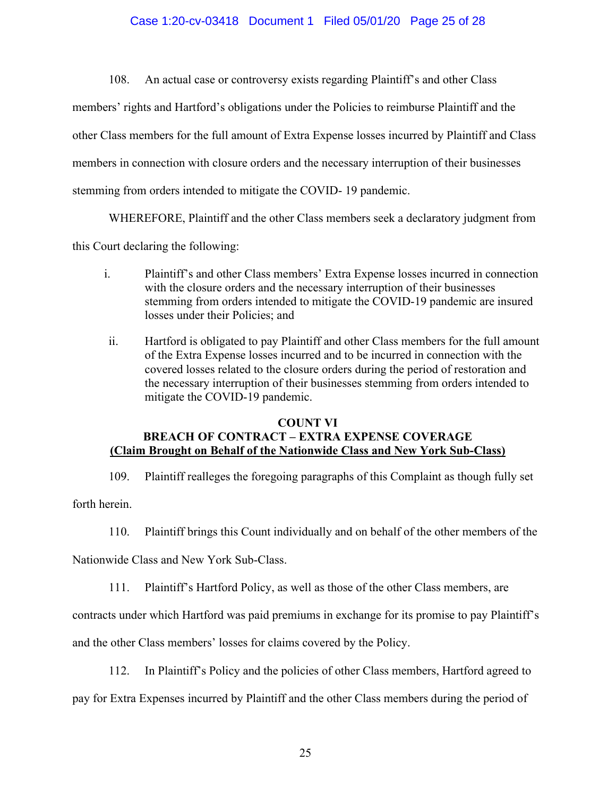## Case 1:20-cv-03418 Document 1 Filed 05/01/20 Page 25 of 28

108. An actual case or controversy exists regarding Plaintiff's and other Class members' rights and Hartford's obligations under the Policies to reimburse Plaintiff and the other Class members for the full amount of Extra Expense losses incurred by Plaintiff and Class members in connection with closure orders and the necessary interruption of their businesses stemming from orders intended to mitigate the COVID- 19 pandemic.

WHEREFORE, Plaintiff and the other Class members seek a declaratory judgment from

this Court declaring the following:

- i. Plaintiff's and other Class members' Extra Expense losses incurred in connection with the closure orders and the necessary interruption of their businesses stemming from orders intended to mitigate the COVID-19 pandemic are insured losses under their Policies; and
- ii. Hartford is obligated to pay Plaintiff and other Class members for the full amount of the Extra Expense losses incurred and to be incurred in connection with the covered losses related to the closure orders during the period of restoration and the necessary interruption of their businesses stemming from orders intended to mitigate the COVID-19 pandemic.

#### **COUNT VI**

## **BREACH OF CONTRACT – EXTRA EXPENSE COVERAGE (Claim Brought on Behalf of the Nationwide Class and New York Sub-Class)**

109. Plaintiff realleges the foregoing paragraphs of this Complaint as though fully set

forth herein.

110. Plaintiff brings this Count individually and on behalf of the other members of the

Nationwide Class and New York Sub-Class.

111. Plaintiff's Hartford Policy, as well as those of the other Class members, are

contracts under which Hartford was paid premiums in exchange for its promise to pay Plaintiff's

and the other Class members' losses for claims covered by the Policy.

112. In Plaintiff's Policy and the policies of other Class members, Hartford agreed to

pay for Extra Expenses incurred by Plaintiff and the other Class members during the period of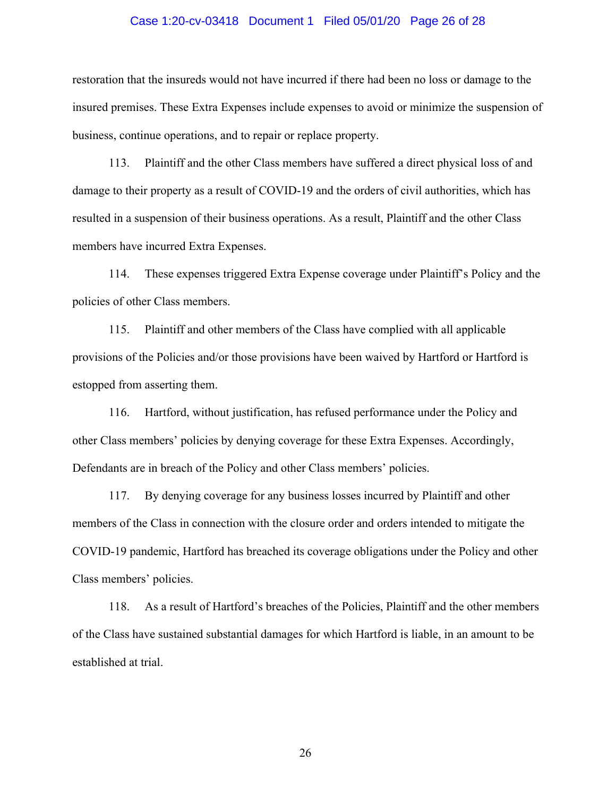#### Case 1:20-cv-03418 Document 1 Filed 05/01/20 Page 26 of 28

restoration that the insureds would not have incurred if there had been no loss or damage to the insured premises. These Extra Expenses include expenses to avoid or minimize the suspension of business, continue operations, and to repair or replace property.

113. Plaintiff and the other Class members have suffered a direct physical loss of and damage to their property as a result of COVID-19 and the orders of civil authorities, which has resulted in a suspension of their business operations. As a result, Plaintiff and the other Class members have incurred Extra Expenses.

114. These expenses triggered Extra Expense coverage under Plaintiff's Policy and the policies of other Class members.

115. Plaintiff and other members of the Class have complied with all applicable provisions of the Policies and/or those provisions have been waived by Hartford or Hartford is estopped from asserting them.

116. Hartford, without justification, has refused performance under the Policy and other Class members' policies by denying coverage for these Extra Expenses. Accordingly, Defendants are in breach of the Policy and other Class members' policies.

117. By denying coverage for any business losses incurred by Plaintiff and other members of the Class in connection with the closure order and orders intended to mitigate the COVID-19 pandemic, Hartford has breached its coverage obligations under the Policy and other Class members' policies.

118. As a result of Hartford's breaches of the Policies, Plaintiff and the other members of the Class have sustained substantial damages for which Hartford is liable, in an amount to be established at trial.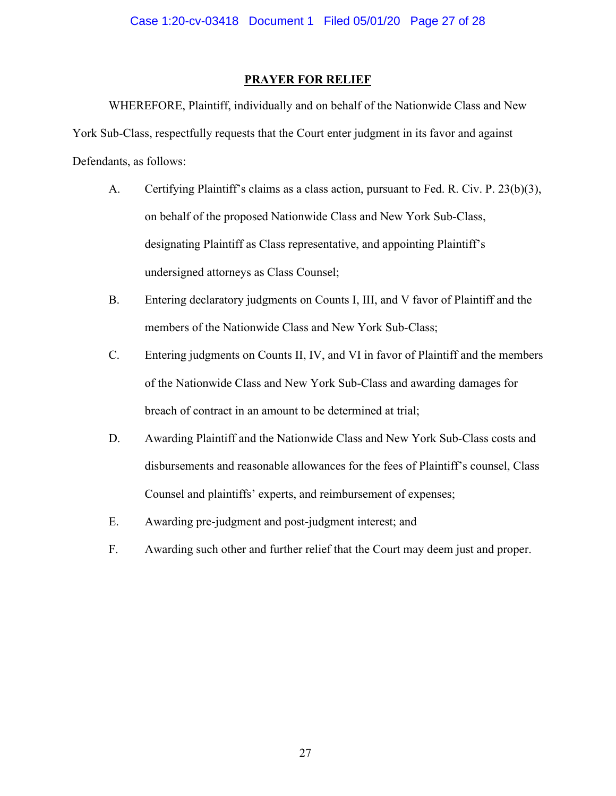## **PRAYER FOR RELIEF**

WHEREFORE, Plaintiff, individually and on behalf of the Nationwide Class and New York Sub-Class, respectfully requests that the Court enter judgment in its favor and against Defendants, as follows:

- A. Certifying Plaintiff's claims as a class action, pursuant to Fed. R. Civ. P. 23(b)(3), on behalf of the proposed Nationwide Class and New York Sub-Class, designating Plaintiff as Class representative, and appointing Plaintiff's undersigned attorneys as Class Counsel;
- B. Entering declaratory judgments on Counts I, III, and V favor of Plaintiff and the members of the Nationwide Class and New York Sub-Class;
- C. Entering judgments on Counts II, IV, and VI in favor of Plaintiff and the members of the Nationwide Class and New York Sub-Class and awarding damages for breach of contract in an amount to be determined at trial;
- D. Awarding Plaintiff and the Nationwide Class and New York Sub-Class costs and disbursements and reasonable allowances for the fees of Plaintiff's counsel, Class Counsel and plaintiffs' experts, and reimbursement of expenses;
- E. Awarding pre-judgment and post-judgment interest; and
- F. Awarding such other and further relief that the Court may deem just and proper.